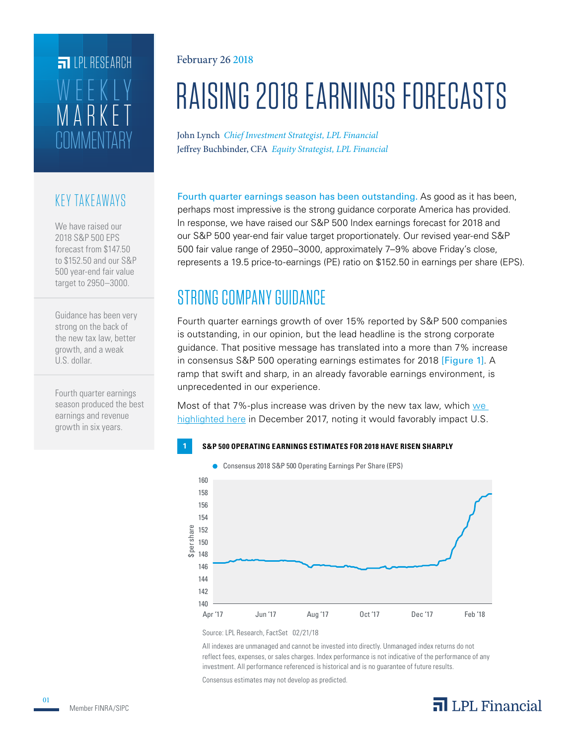# **COMMENTARY** MARKET WEEKLY **FILPI RESEARCH**

## KEY TAKEAWAYS

We have raised our 2018 S&P 500 EPS forecast from \$147.50 to \$152.50 and our S&P 500 year-end fair value target to 2950–3000.

Guidance has been very strong on the back of the new tax law, better growth, and a weak U.S. dollar.

Fourth quarter earnings season produced the best earnings and revenue growth in six years.

## February 26 2018

# RAISING 2018 EARNINGS FORECASTS

John Lynch *Chief Investment Strategist, LPL Financial* Jeffrey Buchbinder, CFA *Equity Strategist, LPL Financial*

Fourth quarter earnings season has been outstanding. As good as it has been, perhaps most impressive is the strong guidance corporate America has provided. In response, we have raised our S&P 500 Index earnings forecast for 2018 and our S&P 500 year-end fair value target proportionately. Our revised year-end S&P 500 fair value range of 2950–3000, approximately 7–9% above Friday's close, represents a 19.5 price-to-earnings (PE) ratio on \$152.50 in earnings per share (EPS).

# STRONG COMPANY GUIDANCE

Fourth quarter earnings growth of over 15% reported by S&P 500 companies is outstanding, in our opinion, but the lead headline is the strong corporate guidance. That positive message has translated into a more than 7% increase in consensus S&P 500 operating earnings estimates for 2018 [Figure 1]. A ramp that swift and sharp, in an already favorable earnings environment, is unprecedented in our experience.

Most of that 7%-plus increase was driven by the new tax law, which we highlighted here in December 2017, noting it would favorably impact U.S.

## **1 S&P 500 OPERATING EARNINGS ESTIMATES FOR 2018 HAVE RISEN SHARPLY**

**Consensus 2018 S&P 500 Operating Earnings Per Share (EPS)** 



Source: LPL Research, FactSet 02/21/18

All indexes are unmanaged and cannot be invested into directly. Unmanaged index returns do not reflect fees, expenses, or sales charges. Index performance is not indicative of the performance of any investment. All performance referenced is historical and is no guarantee of future results.

Consensus estimates may not develop as predicted.

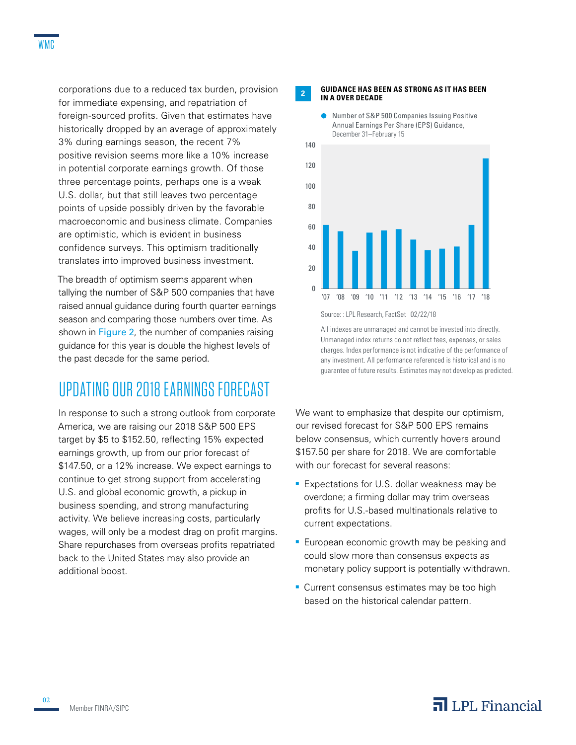corporations due to a reduced tax burden, provision for immediate expensing, and repatriation of foreign-sourced profits. Given that estimates have historically dropped by an average of approximately 3% during earnings season, the recent 7% positive revision seems more like a 10% increase in potential corporate earnings growth. Of those three percentage points, perhaps one is a weak U.S. dollar, but that still leaves two percentage points of upside possibly driven by the favorable macroeconomic and business climate. Companies are optimistic, which is evident in business confidence surveys. This optimism traditionally translates into improved business investment.

The breadth of optimism seems apparent when tallying the number of S&P 500 companies that have raised annual guidance during fourth quarter earnings season and comparing those numbers over time. As shown in Figure 2, the number of companies raising guidance for this year is double the highest levels of the past decade for the same period.

# UPDATING OUR 2018 EARNINGS FORECAST

In response to such a strong outlook from corporate America, we are raising our 2018 S&P 500 EPS target by \$5 to \$152.50, reflecting 15% expected earnings growth, up from our prior forecast of \$147.50, or a 12% increase. We expect earnings to continue to get strong support from accelerating U.S. and global economic growth, a pickup in business spending, and strong manufacturing activity. We believe increasing costs, particularly wages, will only be a modest drag on profit margins. Share repurchases from overseas profits repatriated back to the United States may also provide an additional boost.

### **<sup>2</sup> GUIDANCE HAS BEEN AS STRONG AS IT HAS BEEN IN A OVER DECADE**





Source: : LPL Research, FactSet 02/22/18

All indexes are unmanaged and cannot be invested into directly. Unmanaged index returns do not reflect fees, expenses, or sales charges. Index performance is not indicative of the performance of any investment. All performance referenced is historical and is no guarantee of future results. Estimates may not develop as predicted.

We want to emphasize that despite our optimism, our revised forecast for S&P 500 EPS remains below consensus, which currently hovers around \$157.50 per share for 2018. We are comfortable with our forecast for several reasons:

- **Expectations for U.S. dollar weakness may be** overdone; a firming dollar may trim overseas profits for U.S.-based multinationals relative to current expectations.
- **European economic growth may be peaking and** could slow more than consensus expects as monetary policy support is potentially withdrawn.
- **Current consensus estimates may be too high** based on the historical calendar pattern.

## $\overline{\mathbf{a}}$  LPL Financial

02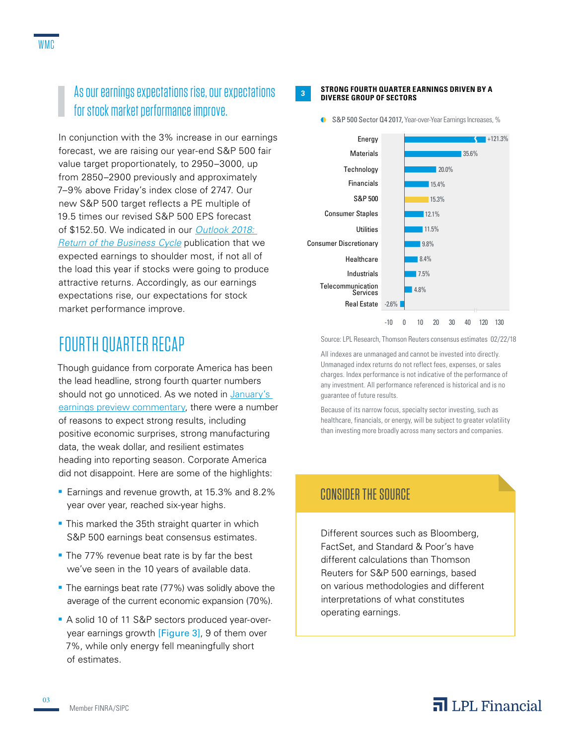## As our earnings expectations rise, our expectations for stock market performance improve.

In conjunction with the 3% increase in our earnings forecast, we are raising our year-end S&P 500 fair value target proportionately, to 2950–3000, up from 2850–2900 previously and approximately 7–9% above Friday's index close of 2747. Our new S&P 500 target reflects a PE multiple of 19.5 times our revised S&P 500 EPS forecast of \$152.50. We indicated in our *Outlook 2018: Return of the Business Cycle* publication that we expected earnings to shoulder most, if not all of the load this year if stocks were going to produce attractive returns. Accordingly, as our earnings expectations rise, our expectations for stock market performance improve.

# FOURTH QUARTER RECAP

Though guidance from corporate America has been the lead headline, strong fourth quarter numbers should not go unnoticed. As we noted in January's earnings preview commentary, there were a number of reasons to expect strong results, including positive economic surprises, strong manufacturing data, the weak dollar, and resilient estimates heading into reporting season. Corporate America did not disappoint. Here are some of the highlights:

- **Earnings and revenue growth, at 15.3% and 8.2%** year over year, reached six-year highs.
- **This marked the 35th straight quarter in which** S&P 500 earnings beat consensus estimates.
- The 77% revenue beat rate is by far the best we've seen in the 10 years of available data.
- The earnings beat rate (77%) was solidly above the average of the current economic expansion (70%).
- A solid 10 of 11 S&P sectors produced year-overyear earnings growth [Figure 3], 9 of them over 7%, while only energy fell meaningfully short of estimates.

#### **<sup>3</sup> STRONG FOURTH QUARTER EARNINGS DRIVEN BY A DIVERSE GROUP OF SECTORS**



S&P 500 Sector Q4 2017, Year-over-Year Earnings Increases, %

Source: LPL Research, Thomson Reuters consensus estimates 02/22/18

All indexes are unmanaged and cannot be invested into directly. Unmanaged index returns do not reflect fees, expenses, or sales charges. Index performance is not indicative of the performance of any investment. All performance referenced is historical and is no guarantee of future results.

Because of its narrow focus, specialty sector investing, such as healthcare, financials, or energy, will be subject to greater volatility than investing more broadly across many sectors and companies.

## CONSIDER THE SOURCE

Different sources such as Bloomberg, FactSet, and Standard & Poor's have different calculations than Thomson Reuters for S&P 500 earnings, based on various methodologies and different interpretations of what constitutes operating earnings.

# $\overline{\mathbf{a}}$  LPL Financial